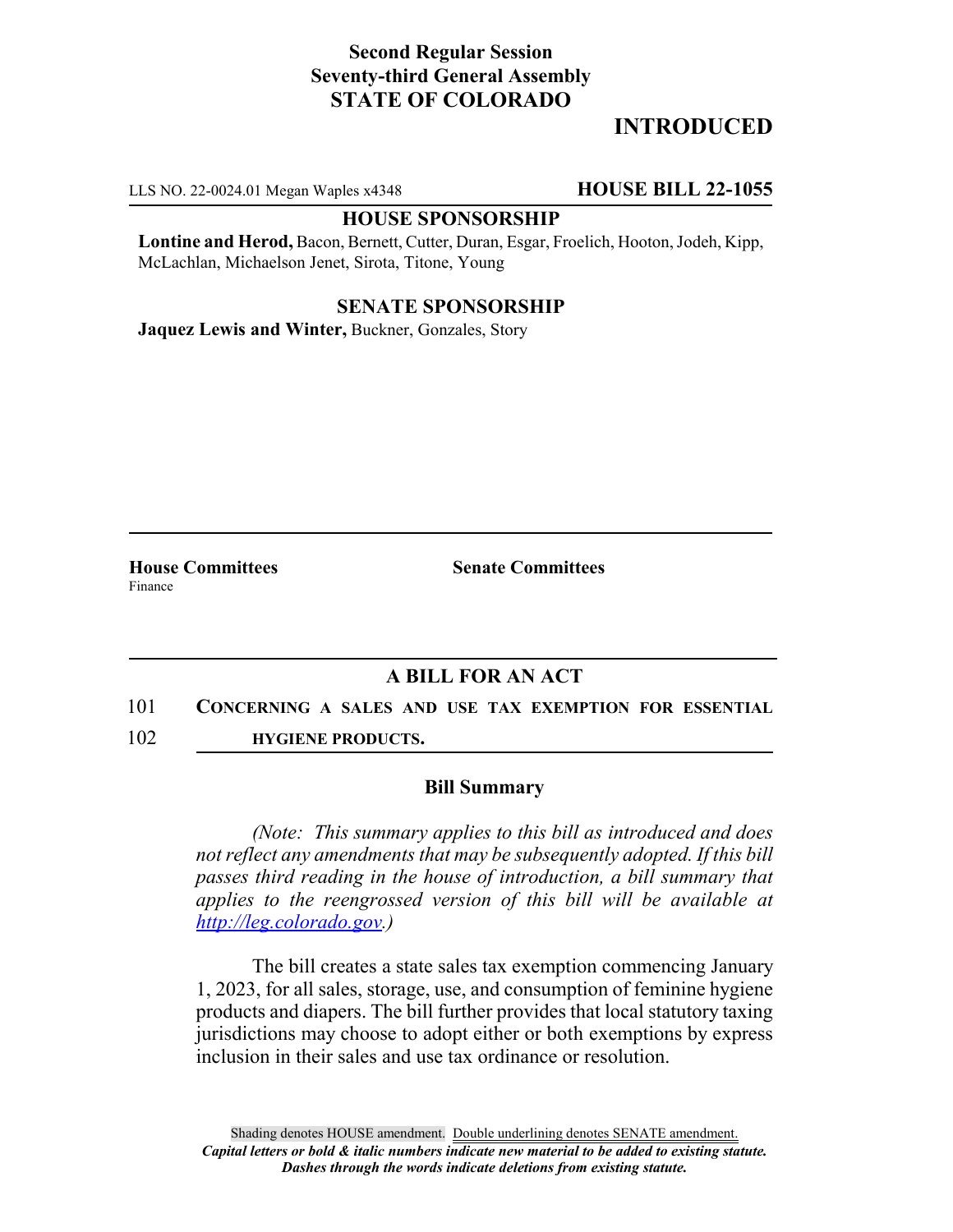# **Second Regular Session Seventy-third General Assembly STATE OF COLORADO**

# **INTRODUCED**

LLS NO. 22-0024.01 Megan Waples x4348 **HOUSE BILL 22-1055**

### **HOUSE SPONSORSHIP**

**Lontine and Herod,** Bacon, Bernett, Cutter, Duran, Esgar, Froelich, Hooton, Jodeh, Kipp, McLachlan, Michaelson Jenet, Sirota, Titone, Young

### **SENATE SPONSORSHIP**

**Jaquez Lewis and Winter,** Buckner, Gonzales, Story

Finance

**House Committees Senate Committees**

### **A BILL FOR AN ACT**

- 101 **CONCERNING A SALES AND USE TAX EXEMPTION FOR ESSENTIAL**
- 102 **HYGIENE PRODUCTS.**

#### **Bill Summary**

*(Note: This summary applies to this bill as introduced and does not reflect any amendments that may be subsequently adopted. If this bill passes third reading in the house of introduction, a bill summary that applies to the reengrossed version of this bill will be available at http://leg.colorado.gov.)*

The bill creates a state sales tax exemption commencing January 1, 2023, for all sales, storage, use, and consumption of feminine hygiene products and diapers. The bill further provides that local statutory taxing jurisdictions may choose to adopt either or both exemptions by express inclusion in their sales and use tax ordinance or resolution.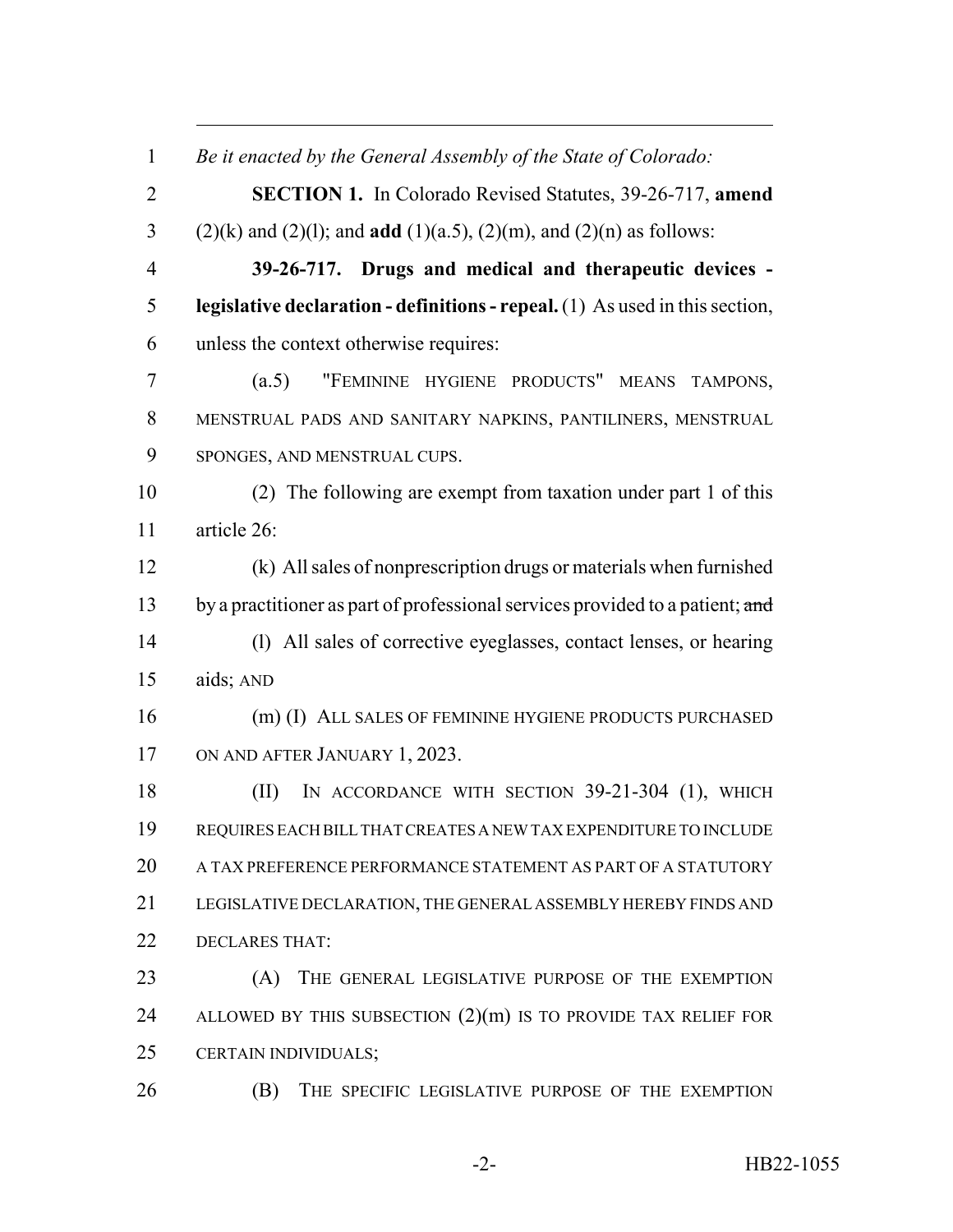*Be it enacted by the General Assembly of the State of Colorado:* **SECTION 1.** In Colorado Revised Statutes, 39-26-717, **amend** (2)(k) and (2)(l); and **add** (1)(a.5), (2)(m), and (2)(n) as follows: **39-26-717. Drugs and medical and therapeutic devices - legislative declaration - definitions - repeal.** (1) As used in this section, unless the context otherwise requires: (a.5) "FEMININE HYGIENE PRODUCTS" MEANS TAMPONS, MENSTRUAL PADS AND SANITARY NAPKINS, PANTILINERS, MENSTRUAL SPONGES, AND MENSTRUAL CUPS. (2) The following are exempt from taxation under part 1 of this article 26: (k) All sales of nonprescription drugs or materials when furnished 13 by a practitioner as part of professional services provided to a patient; and (l) All sales of corrective eyeglasses, contact lenses, or hearing aids; AND 16 (m) (I) ALL SALES OF FEMININE HYGIENE PRODUCTS PURCHASED ON AND AFTER JANUARY 1, 2023. 18 (II) IN ACCORDANCE WITH SECTION 39-21-304 (1), WHICH REQUIRES EACH BILL THAT CREATES A NEW TAX EXPENDITURE TO INCLUDE 20 A TAX PREFERENCE PERFORMANCE STATEMENT AS PART OF A STATUTORY LEGISLATIVE DECLARATION, THE GENERAL ASSEMBLY HEREBY FINDS AND DECLARES THAT: (A) THE GENERAL LEGISLATIVE PURPOSE OF THE EXEMPTION 24 ALLOWED BY THIS SUBSECTION  $(2)(m)$  is to provide TAX RELIEF FOR CERTAIN INDIVIDUALS; (B) THE SPECIFIC LEGISLATIVE PURPOSE OF THE EXEMPTION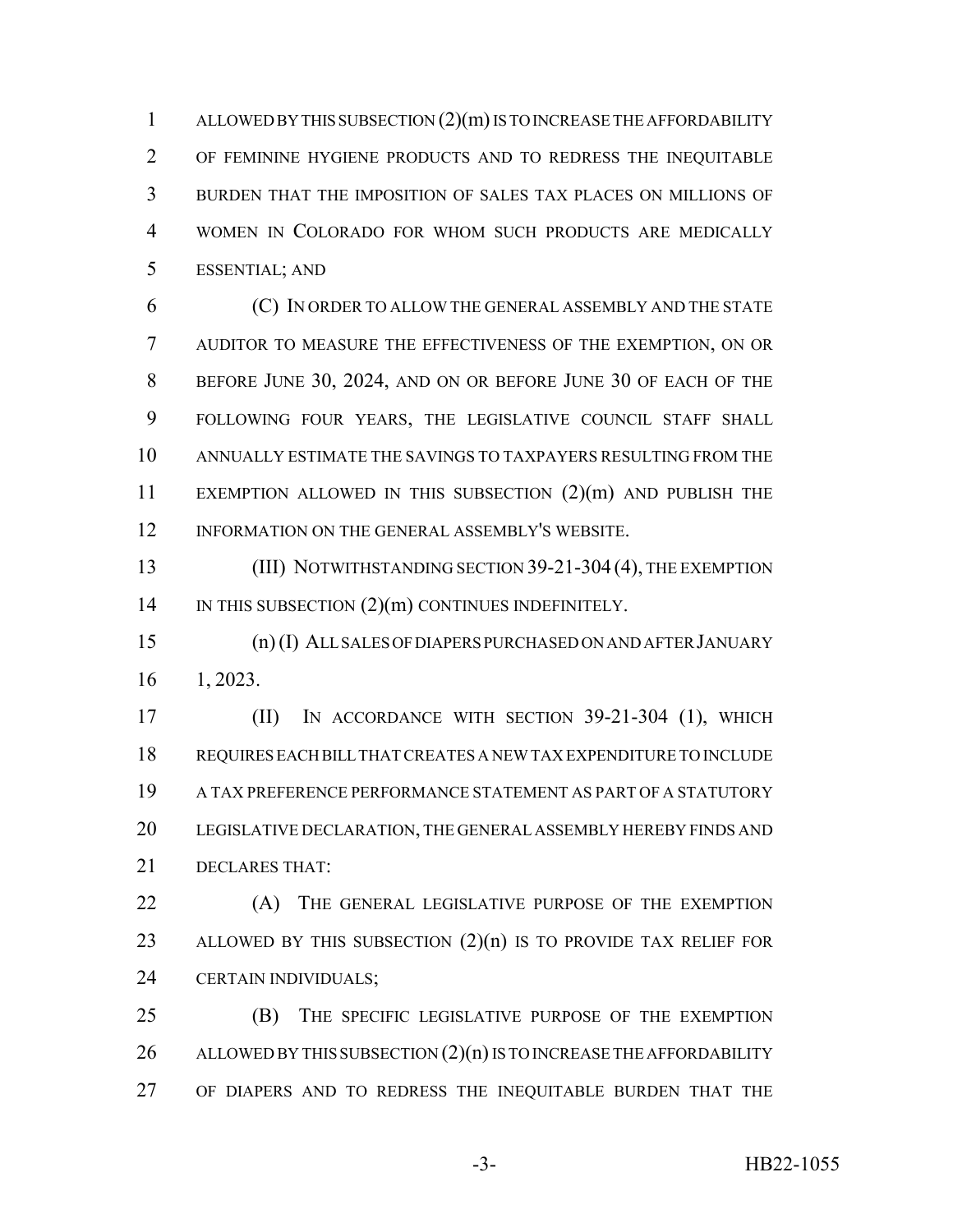ALLOWED BY THIS SUBSECTION (2)(m) IS TO INCREASE THE AFFORDABILITY OF FEMININE HYGIENE PRODUCTS AND TO REDRESS THE INEQUITABLE BURDEN THAT THE IMPOSITION OF SALES TAX PLACES ON MILLIONS OF WOMEN IN COLORADO FOR WHOM SUCH PRODUCTS ARE MEDICALLY ESSENTIAL; AND

 (C) IN ORDER TO ALLOW THE GENERAL ASSEMBLY AND THE STATE AUDITOR TO MEASURE THE EFFECTIVENESS OF THE EXEMPTION, ON OR BEFORE JUNE 30, 2024, AND ON OR BEFORE JUNE 30 OF EACH OF THE FOLLOWING FOUR YEARS, THE LEGISLATIVE COUNCIL STAFF SHALL ANNUALLY ESTIMATE THE SAVINGS TO TAXPAYERS RESULTING FROM THE EXEMPTION ALLOWED IN THIS SUBSECTION (2)(m) AND PUBLISH THE INFORMATION ON THE GENERAL ASSEMBLY'S WEBSITE.

**(III) NOTWITHSTANDING SECTION 39-21-304 (4), THE EXEMPTION** 14 IN THIS SUBSECTION  $(2)(m)$  CONTINUES INDEFINITELY.

 (n) (I) ALL SALES OF DIAPERS PURCHASED ON AND AFTER JANUARY 1, 2023.

 (II) IN ACCORDANCE WITH SECTION 39-21-304 (1), WHICH REQUIRES EACH BILL THAT CREATES A NEW TAX EXPENDITURE TO INCLUDE A TAX PREFERENCE PERFORMANCE STATEMENT AS PART OF A STATUTORY LEGISLATIVE DECLARATION, THE GENERAL ASSEMBLY HEREBY FINDS AND DECLARES THAT:

22 (A) THE GENERAL LEGISLATIVE PURPOSE OF THE EXEMPTION 23 ALLOWED BY THIS SUBSECTION  $(2)(n)$  is to provide TAX RELIEF FOR CERTAIN INDIVIDUALS;

 (B) THE SPECIFIC LEGISLATIVE PURPOSE OF THE EXEMPTION 26 ALLOWED BY THIS SUBSECTION  $(2)(n)$  IS TO INCREASE THE AFFORDABILITY OF DIAPERS AND TO REDRESS THE INEQUITABLE BURDEN THAT THE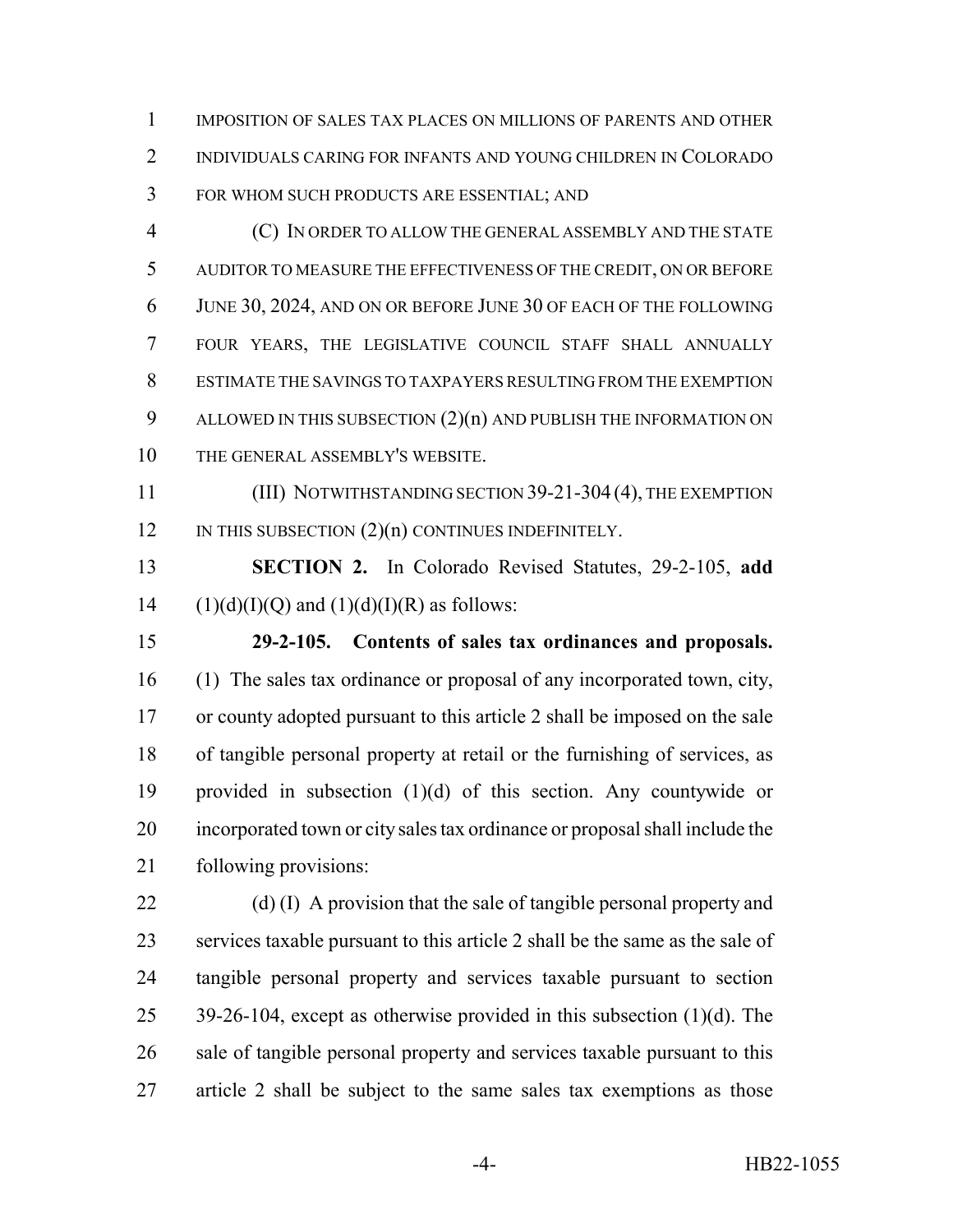IMPOSITION OF SALES TAX PLACES ON MILLIONS OF PARENTS AND OTHER INDIVIDUALS CARING FOR INFANTS AND YOUNG CHILDREN IN COLORADO FOR WHOM SUCH PRODUCTS ARE ESSENTIAL; AND

 (C) IN ORDER TO ALLOW THE GENERAL ASSEMBLY AND THE STATE AUDITOR TO MEASURE THE EFFECTIVENESS OF THE CREDIT, ON OR BEFORE JUNE 30, 2024, AND ON OR BEFORE JUNE 30 OF EACH OF THE FOLLOWING FOUR YEARS, THE LEGISLATIVE COUNCIL STAFF SHALL ANNUALLY ESTIMATE THE SAVINGS TO TAXPAYERS RESULTING FROM THE EXEMPTION ALLOWED IN THIS SUBSECTION (2)(n) AND PUBLISH THE INFORMATION ON THE GENERAL ASSEMBLY'S WEBSITE.

11 (III) NOTWITHSTANDING SECTION 39-21-304 (4), THE EXEMPTION 12 IN THIS SUBSECTION  $(2)(n)$  CONTINUES INDEFINITELY.

 **SECTION 2.** In Colorado Revised Statutes, 29-2-105, **add** 14 (1)(d)(I)(Q) and (1)(d)(I)(R) as follows:

 **29-2-105. Contents of sales tax ordinances and proposals.** (1) The sales tax ordinance or proposal of any incorporated town, city, or county adopted pursuant to this article 2 shall be imposed on the sale of tangible personal property at retail or the furnishing of services, as provided in subsection (1)(d) of this section. Any countywide or incorporated town or city sales tax ordinance or proposal shall include the following provisions:

22 (d) (I) A provision that the sale of tangible personal property and services taxable pursuant to this article 2 shall be the same as the sale of tangible personal property and services taxable pursuant to section 39-26-104, except as otherwise provided in this subsection (1)(d). The 26 sale of tangible personal property and services taxable pursuant to this article 2 shall be subject to the same sales tax exemptions as those